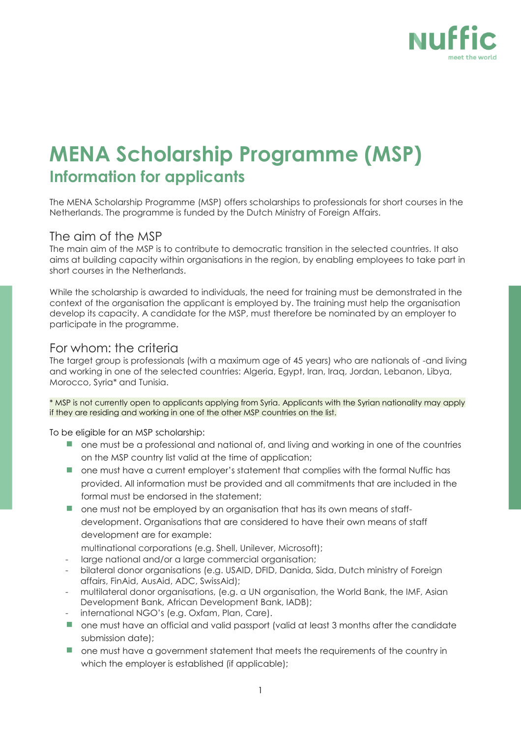

# **MENA Scholarship Programme (MSP) Information for applicants**

The MENA Scholarship Programme (MSP) offers scholarships to professionals for short courses in the Netherlands. The programme is funded by the Dutch Ministry of Foreign Affairs.

#### The aim of the MSP

The main aim of the MSP is to contribute to democratic transition in the selected countries. It also aims at building capacity within organisations in the region, by enabling employees to take part in short courses in the Netherlands.

While the scholarship is awarded to individuals, the need for training must be demonstrated in the context of the organisation the applicant is employed by. The training must help the organisation develop its capacity. A candidate for the MSP, must therefore be nominated by an employer to participate in the programme.

## For whom: the criteria

The target group is professionals (with a maximum age of 45 years) who are nationals of -and living and working in one of the selected countries: Algeria, Egypt, Iran, Iraq, Jordan, Lebanon, Libya, Morocco, Syria\* and Tunisia.

\* MSP is not currently open to applicants applying from Syria. Applicants with the Syrian nationality may apply if they are residing and working in one of the other MSP countries on the list.

To be eligible for an MSP scholarship:

- one must be a professional and national of, and living and working in one of the countries on the MSP country list valid at the time of application;
- one must have a current employer's statement that complies with the formal Nuffic has provided. All information must be provided and all commitments that are included in the formal must be endorsed in the statement;
- **n** one must not be employed by an organisation that has its own means of staffdevelopment. Organisations that are considered to have their own means of staff development are for example:
	- multinational corporations (e.g. Shell, Unilever, Microsoft);
- large national and/or a large commercial organisation;
- bilateral donor organisations (e.g. USAID, DFID, Danida, Sida, Dutch ministry of Foreign affairs, FinAid, AusAid, ADC, SwissAid);
- multilateral donor organisations, (e.g. a UN organisation, the World Bank, the IMF, Asian Development Bank, African Development Bank, IADB);
- international NGO's (e.g. Oxfam, Plan, Care).
- one must have an official and valid passport (valid at least 3 months after the candidate submission date);
- one must have a government statement that meets the requirements of the country in which the employer is established (if applicable);